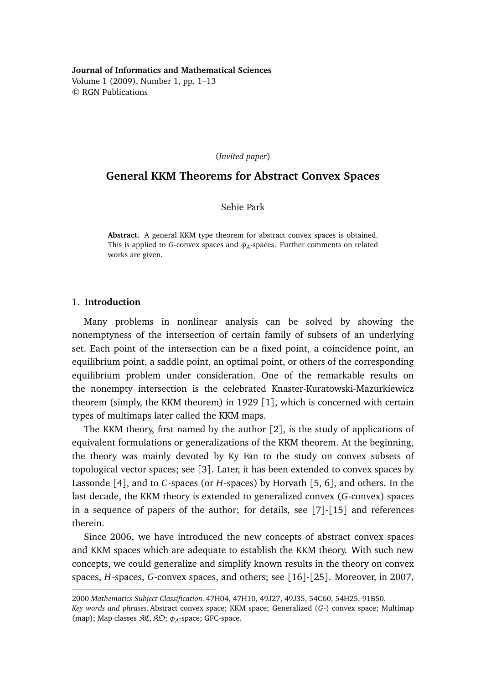**Journal of Informatics and Mathematical Sciences** Volume 1 (2009), Number 1, pp. 1–13 © RGN Publications

(*Invited paper*)

# **General KKM Theorems for Abstract Convex Spaces**

Sehie Park

**Abstract.** A general KKM type theorem for abstract convex spaces is obtained. This is applied to *G*-convex spaces and  $\phi_A$ -spaces. Further comments on related works are given.

## 1. **Introduction**

Many problems in nonlinear analysis can be solved by showing the nonemptyness of the intersection of certain family of subsets of an underlying set. Each point of the intersection can be a fixed point, a coincidence point, an equilibrium point, a saddle point, an optimal point, or others of the corresponding equilibrium problem under consideration. One of the remarkable results on the nonempty intersection is the celebrated Knaster-Kuratowski-Mazurkiewicz theorem (simply, the KKM theorem) in 1929 [1], which is concerned with certain types of multimaps later called the KKM maps.

The KKM theory, first named by the author [2], is the study of applications of equivalent formulations or generalizations of the KKM theorem. At the beginning, the theory was mainly devoted by Ky Fan to the study on convex subsets of topological vector spaces; see [3]. Later, it has been extended to convex spaces by Lassonde [4], and to *C*-spaces (or *H*-spaces) by Horvath [5, 6], and others. In the last decade, the KKM theory is extended to generalized convex (*G*-convex) spaces in a sequence of papers of the author; for details, see [7]-[15] and references therein.

Since 2006, we have introduced the new concepts of abstract convex spaces and KKM spaces which are adequate to establish the KKM theory. With such new concepts, we could generalize and simplify known results in the theory on convex spaces, *H*-spaces, *G*-convex spaces, and others; see [16]-[25]. Moreover, in 2007,

<sup>2000</sup> *Mathematics Subject Classification.* 47H04, 47H10, 49J27, 49J35, 54C60, 54H25, 91B50. *Key words and phrases.* Abstract convex space; KKM space; Generalized (*G*-) convex space; Multimap (map); Map classes  $\mathcal{RC}, \mathcal{RD}; \phi_A$ -space; GFC-space.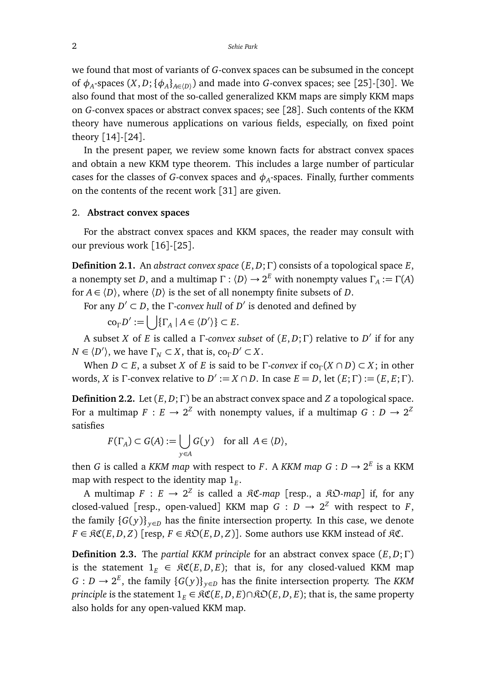we found that most of variants of *G*-convex spaces can be subsumed in the concept of  $\phi_A$ -spaces  $(X, D; {\phi_A}_{A \in (D)})$  and made into *G*-convex spaces; see [25]-[30]. We also found that most of the so-called generalized KKM maps are simply KKM maps on *G*-convex spaces or abstract convex spaces; see [28]. Such contents of the KKM theory have numerous applications on various fields, especially, on fixed point theory [14]-[24].

In the present paper, we review some known facts for abstract convex spaces and obtain a new KKM type theorem. This includes a large number of particular cases for the classes of *G*-convex spaces and  $\phi_A$ -spaces. Finally, further comments on the contents of the recent work [31] are given.

## 2. **Abstract convex spaces**

For the abstract convex spaces and KKM spaces, the reader may consult with our previous work [16]-[25].

**Definition 2.1.** An *abstract convex space* (*E*, *D*;Γ) consists of a topological space *E*, a nonempty set D, and a multimap  $\Gamma : \langle D \rangle \to 2^E$  with nonempty values  $\Gamma_A := \Gamma(A)$ for  $A \in \langle D \rangle$ , where  $\langle D \rangle$  is the set of all nonempty finite subsets of *D*.

For any  $D' \subset D$ , the *Γ*-*convex hull* of  $D'$  is denoted and defined by

$$
\operatorname{co}_{\Gamma} D' := \bigcup \{ \Gamma_A \mid A \in \langle D' \rangle \} \subset E.
$$

A subset *X* of *E* is called a Γ-*convex subset* of (*E*, *D*;Γ) relative to *D* 0 if for any  $N \in \langle D' \rangle$ , we have  $\Gamma_N \subset X$ , that is,  $\text{co}_{\Gamma} D' \subset X$ .

When *D* ⊂ *E*, a subset *X* of *E* is said to be Γ-*convex* if  $co_\Gamma(X \cap D) \subset X$ ; in other words, *X* is  $\Gamma$ -convex relative to  $D' := X \cap D$ . In case  $E = D$ , let  $(E; \Gamma) := (E, E; \Gamma)$ .

**Definition 2.2.** Let (*E*, *D*;Γ) be an abstract convex space and *Z* a topological space. For a multimap  $F : E \to 2^Z$  with nonempty values, if a multimap  $G : D \to 2^Z$ satisfies

$$
F(\Gamma_A) \subset G(A) := \bigcup_{y \in A} G(y) \quad \text{for all } A \in \langle D \rangle,
$$

then *G* is called a *KKM map* with respect to *F*. A *KKM map*  $G: D \to 2^E$  is a KKM map with respect to the identity map  $\mathbb{1}_E.$ 

A multimap  $F : E \to 2^Z$  is called a  $\Re \mathfrak{C}$ -map [resp., a  $\Re \mathfrak{D}$ -map] if, for any closed-valued [resp., open-valued] KKM map  $G : D \to 2^Z$  with respect to *F*, the family  ${G(y)}_{y \in D}$  has the finite intersection property. In this case, we denote  $F \in \mathfrak{RC}(E, D, Z)$  [resp,  $F \in \mathfrak{RO}(E, D, Z)$ ]. Some authors use KKM instead of  $\mathfrak{RC}$ .

**Definition 2.3.** The *partial KKM principle* for an abstract convex space (*E*, *D*;Γ) is the statement  $1_E \in \Re \mathfrak{C}(E, D, E)$ ; that is, for any closed-valued KKM map *G* : *D* →  $2^E$ , the family {*G*(*y*)}<sub>*y*∈*D*</sub> has the finite intersection property. The *KKM principle* is the statement  $1_E \in \Re \mathfrak{C}(E, D, E) \cap \Re \mathfrak{O}(E, D, E)$ ; that is, the same property also holds for any open-valued KKM map.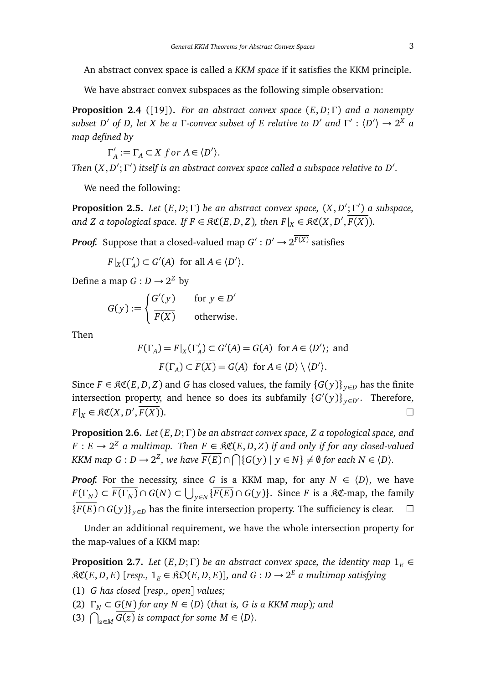An abstract convex space is called a *KKM space* if it satisfies the KKM principle.

We have abstract convex subspaces as the following simple observation:

**Proposition 2.4** ([19])**.** *For an abstract convex space* (*E*, *D*;Γ) *and a nonempty subset D'* of *D, let X be a* Γ-convex subset of *E relative to D'* and  $\Gamma' : \langle D' \rangle \to 2^X$  a *map defined by*

> $\Gamma'_{\ell}$  $A'_{A} := \Gamma_{A} \subset X$  for  $A \in \langle D' \rangle$ .

*Then*  $(X, D'; \Gamma')$  itself is an abstract convex space called a subspace relative to  $D'.$ 

We need the following:

**Proposition 2.5.** *Let*  $(E, D; \Gamma)$  *be an abstract convex space,*  $(X, D'; \Gamma')$  *a subspace, and Z a topological space. If*  $F \in \mathfrak{RC}(E,D,Z)$ *, then*  $F|_X \in \mathfrak{RC}(X,D',\overline{F(X)}).$ 

*Proof.* Suppose that a closed-valued map  $G': D' \to 2^{\overline{F(X)}}$  satisfies

 $F|_X(\Gamma'_A) \subset G'(A)$  for all  $A \in \langle D' \rangle$ .

Define a map  $G: D \to 2^Z$  by

$$
G(y) := \begin{cases} G'(y) & \text{for } y \in D' \\ \overline{F(X)} & \text{otherwise.} \end{cases}
$$

Then

$$
F(\Gamma_A) = F|_X(\Gamma'_A) \subset G'(A) = G(A) \text{ for } A \in \langle D' \rangle; \text{ and}
$$

$$
F(\Gamma_A) \subset \overline{F(X)} = G(A) \text{ for } A \in \langle D \rangle \setminus \langle D' \rangle.
$$

Since  $F \in \mathfrak{RC}(E, D, Z)$  and *G* has closed values, the family  $\{G(y)\}_{y \in D}$  has the finite intersection property, and hence so does its subfamily  $\{G'(y)\}_{y\in D'}$ . Therefore,  $F|_X \in \mathfrak{RC}(X, D)$  $\overline{F(X)}$ .

**Proposition 2.6.** *Let* (*E*, *D*;Γ) *be an abstract convex space, Z a topological space, and F* : *E* → 2<sup>*Z*</sup> a multimap. Then *F* ∈  $\Re\mathfrak{C}(E,D,Z)$  *if and only if for any closed-valued KKM* map  $G: D \to 2^Z$ , we have  $\overline{F(E)} \cap \bigcap \{G(y) \mid y \in N\} \neq \emptyset$  for each  $N \in \langle D \rangle$ .

*Proof.* For the necessity, since *G* is a KKM map, for any  $N \in \langle D \rangle$ , we have  $F(\Gamma_N) \subset \overline{F(\Gamma_N)} \cap G(N) \subset \bigcup_{y \in N} \{ \overline{F(E)} \cap G(y) \}.$  Since *F* is a  $\Re \mathfrak{C}$ -map, the family  ${F(E) \cap G(y)}$ <sub>*y*∈*D*</sub> has the finite intersection property. The sufficiency is clear. □

Under an additional requirement, we have the whole intersection property for the map-values of a KKM map:

**Proposition 2.7.** *Let*  $(E, D; \Gamma)$  *be an abstract convex space, the identity map*  $1_F \in$  $R\mathfrak{C}(E, D, E)$  [resp.,  $1_E \in R\mathfrak{O}(E, D, E)$ ], and  $G: D \to 2^E$  a multimap satisfying

(1) *G has closed* [*resp., open*] *values;*

(2)  $\Gamma_N \subset G(N)$  *for any*  $N \in \langle D \rangle$  (*that is, G is a KKM map*)*; and* 

(3)  $\bigcap_{z \in M} \overline{G(z)}$  *is compact for some M*  $\in$   $\langle D \rangle$ *.*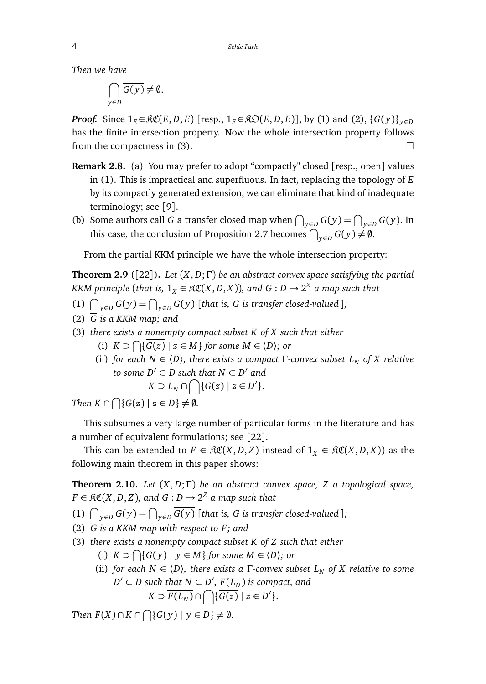*Then we have*

$$
\bigcap_{y\in D}\overline{G(y)}\neq\emptyset.
$$

*Proof.* Since  $1_E \in \mathcal{RC}(E, D, E)$  [resp.,  $1_E \in \mathcal{RD}(E, D, E)$ ], by (1) and (2),  $\{G(y)\}_{y \in D}$ has the finite intersection property. Now the whole intersection property follows from the compactness in (3).  $\Box$ 

- **Remark 2.8.** (a) You may prefer to adopt "compactly" closed [resp., open] values in (1). This is impractical and superfluous. In fact, replacing the topology of *E* by its compactly generated extension, we can eliminate that kind of inadequate terminology; see [9].
- (b) Some authors call *G* a transfer closed map when  $\bigcap_{y \in D} G(y) = \bigcap_{y \in D} G(y)$ . In this case, the conclusion of Proposition 2.7 becomes  $\bigcap_{y \in D} G(y) \neq \emptyset$ .

From the partial KKM principle we have the whole intersection property:

**Theorem 2.9** ([22])**.** *Let* (*X*, *D*;Γ) *be an abstract convex space satisfying the partial KKM principle* (*that is,*  $1_X \in \mathfrak{RC}(X, D, X)$ ), and  $G: D \to 2^X$  a map such that

- (1)  $\bigcap_{y \in D} G(y) = \bigcap_{y \in D} \overline{G(y)}$  [*that is, G is transfer closed-valued* ]*;*
- (2) *G is a KKM map; and*
- (3) *there exists a nonempty compact subset K of X such that either*
	- (i)  $K \supset \bigcap \{ \overline{G(z)} \mid z \in M \}$  *for some*  $M \in \langle D \rangle$ *; or*
	- (ii) *for each*  $N \in \langle D \rangle$ *, there exists a compact*  $\Gamma$ -convex subset  $L_N$  of X relative  $to$  *some*  $D' \subset D$  such that  $N \subset D'$  and  $K \supset L_N \cap \bigcap {\{\overline{G(z)} \mid z \in D'\}}.$

*Then*  $K \cap \bigcap \{ G(z) \mid z \in D \} \neq \emptyset$ .

This subsumes a very large number of particular forms in the literature and has a number of equivalent formulations; see [22].

This can be extended to  $F \in \mathfrak{RC}(X, D, Z)$  instead of  $1_X \in \mathfrak{RC}(X, D, X)$  as the following main theorem in this paper shows:

**Theorem 2.10.** *Let* (*X*, *D*;Γ) *be an abstract convex space, Z a topological space,*  $F \in \mathfrak{RC}(X, D, Z)$ , and  $G: D \to 2^Z$  a map such that

(1)  $\bigcap_{y \in D} G(y) = \bigcap_{y \in D} \overline{G(y)}$  [*that is, G is transfer closed-valued* ];

- (2)  $\overline{G}$  is a KKM map with respect to F; and
- (3) *there exists a nonempty compact subset K of Z such that either*
	- (i)  $K \supset \bigcap \{ \overline{G(y)} \mid y \in M \}$  *for some*  $M \in \langle D \rangle$ *; or*
	- (ii) *for each*  $N \in \langle D \rangle$ *, there exists a* Γ-convex subset  $L_N$  *of* X relative to some  $D' \subset D$  such that  $N \subset D'$ ,  $F(L_N)$  is compact, and  $K \supset \overline{F(L_N)} \cap \bigcap \{\overline{G(z)} \mid z \in D'\}.$

 $\mathcal{F}(X) \cap K \cap \bigcap \{G(y) \mid y \in D\} \neq \emptyset.$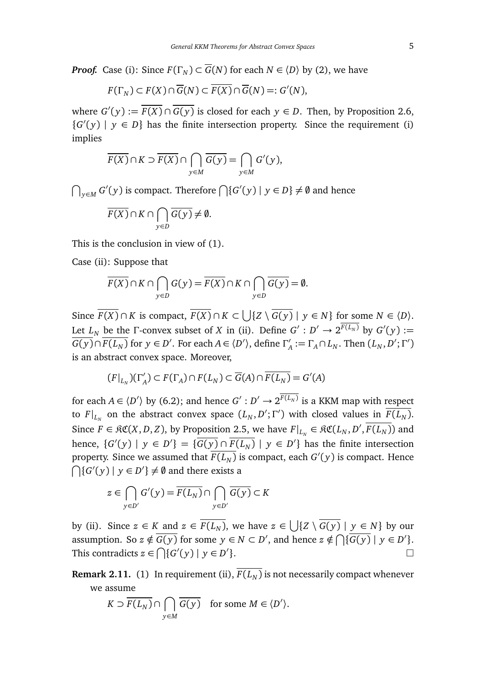*Proof.* Case (i): Since  $F(\Gamma_N) \subset \overline{G}(N)$  for each  $N \in \langle D \rangle$  by (2), we have

$$
F(\Gamma_N) \subset F(X) \cap \overline{G}(N) \subset \overline{F(X)} \cap \overline{G}(N) =: G'(N),
$$

where  $G'(y) := \overline{F(X)} \cap \overline{G(y)}$  is closed for each  $y \in D$ . Then, by Proposition 2.6,  ${G'(y) | y \in D}$  has the finite intersection property. Since the requirement (i) implies

$$
\overline{F(X)} \cap K \supset \overline{F(X)} \cap \bigcap_{y \in M} \overline{G(y)} = \bigcap_{y \in M} G'(y),
$$

 $\bigcap_{y \in M} G'(y)$  is compact. Therefore  $\bigcap \{G'(y) \mid y \in D\}$  ≠  $\emptyset$  and hence

$$
\overline{F(X)} \cap K \cap \bigcap_{y \in D} \overline{G(y)} \neq \emptyset.
$$

This is the conclusion in view of (1).

Case (ii): Suppose that

$$
\overline{F(X)} \cap K \cap \bigcap_{y \in D} G(y) = \overline{F(X)} \cap K \cap \bigcap_{y \in D} \overline{G(y)} = \emptyset.
$$

Since  $\overline{F(X)} \cap K$  is compact,  $\overline{F(X)} \cap K \subset \bigcup \{Z \setminus \overline{G(y)} \mid y \in N\}$  for some  $N \in \langle D \rangle$ . Let  $L_N$  be the  $\Gamma$ -convex subset of *X* in (ii). Define  $G': D' \to 2^{\overline{F(L_N)}}$  by  $G'(y) :=$  $\overline{G(y)} \cap \overline{F(L_N)}$  for  $y \in D'$ . For each  $A \in \langle D' \rangle$ , define  $\Gamma'_\lambda$  $\Lambda$ <sup>2</sup> := Γ<sub>A</sub> ∩ *L*<sub>*N*</sub>. Then  $(L_N, D'; \Gamma')$ is an abstract convex space. Moreover,

$$
(F|_{L_N})(\Gamma'_A) \subset F(\Gamma_A) \cap F(L_N) \subset \overline{G}(A) \cap \overline{F(L_N)} = G'(A)
$$

for each  $A \in \langle D' \rangle$  by (6.2); and hence  $G' : D' \to 2^{\overline{F(L_N)}}$  is a KKM map with respect to  $F|_{L_N}$  on the abstract convex space  $(L_N, D'; \Gamma')$  with closed values in  $\overline{F(L_N)}$ . Since  $F \in \mathfrak{RC}(X, D, Z)$ , by Proposition 2.5, we have  $F|_{L_N} \in \mathfrak{RC}(L_N, D', \overline{F(L_N)})$  and hence,  $\{G'(y) | y \in D'\} = \{\overline{G(y)} \cap \overline{F(L_N)} | y \in D'\}$  has the finite intersection property. Since we assumed that  $\overline{F(L_N)}$  is compact, each  $G'(y)$  is compact. Hence  $\bigcap$ {*G'*(*y*) | *y*  $\in$  *D'*}  $\neq$  0 and there exists a

$$
z \in \bigcap_{y \in D'} G'(y) = \overline{F(L_N)} \cap \bigcap_{y \in D'} \overline{G(y)} \subset K
$$

by (ii). Since  $z \in K$  and  $z \in \overline{F(L_N)}$ , we have  $z \in \bigcup \{Z \setminus \overline{G(y)} \mid y \in N\}$  by our assumption. So  $z \notin \overline{G(y)}$  for some  $y \in N \subset D'$ , and hence  $z \notin \bigcap {\overline{G(y)}} \mid y \in D'$ . This contradicts  $z \in \bigcap \{G'(y) \mid y \in D' \}$ }.

**Remark 2.11.** (1) In requirement (ii),  $\overline{F(L_N)}$  is not necessarily compact whenever we assume

$$
K \supset \overline{F(L_N)} \cap \bigcap_{y \in M} \overline{G(y)} \quad \text{for some } M \in \langle D' \rangle.
$$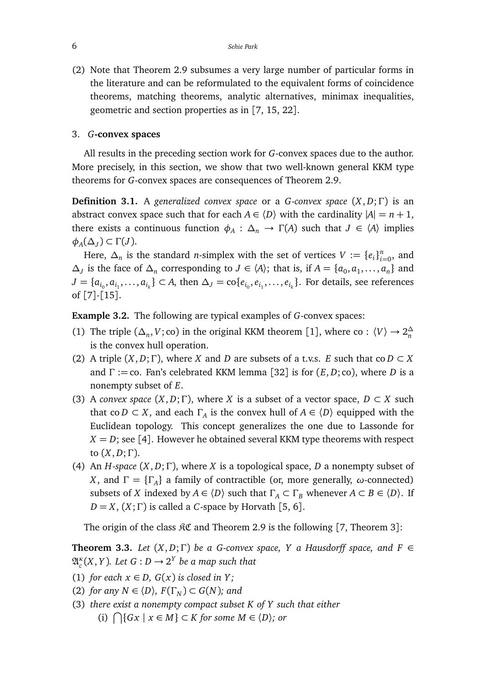(2) Note that Theorem 2.9 subsumes a very large number of particular forms in the literature and can be reformulated to the equivalent forms of coincidence theorems, matching theorems, analytic alternatives, minimax inequalities, geometric and section properties as in [7, 15, 22].

#### 3. *G***-convex spaces**

All results in the preceding section work for *G*-convex spaces due to the author. More precisely, in this section, we show that two well-known general KKM type theorems for *G*-convex spaces are consequences of Theorem 2.9.

**Definition 3.1.** A *generalized convex space* or a *G*-*convex space* (*X*, *D*;Γ) is an abstract convex space such that for each  $A \in \langle D \rangle$  with the cardinality  $|A| = n + 1$ , there exists a continuous function  $\phi_A : \Delta_n \to \Gamma(A)$  such that  $J \in \langle A \rangle$  implies  $φ$ <sup>*A*</sup>( $Δ$ <sub>*J*</sub>) ⊂ Γ(*J*).

Here,  $\Delta_n$  is the standard *n*-simplex with the set of vertices *V* := { $e_i$ } $_{i=0}^n$ , and  $\Delta$ <sup>*J*</sup> is the face of  $\Delta$ <sup>*n*</sup> corresponding to *J* ∈  $\langle A \rangle$ ; that is, if *A* = { $a$ <sub>0</sub>,  $a$ <sub>1</sub>, . . . . ,  $a$ <sup>3</sup> and *J* = { $a_{i_0}, a_{i_1},..., a_{i_k}$ } ⊂ *A*, then  $\Delta_J$  = co{ $e_{i_0}, e_{i_1},..., e_{i_k}$ }. For details, see references of [7]-[15].

**Example 3.2.** The following are typical examples of *G*-convex spaces:

- (1) The triple  $(\Delta_n, V; \text{co})$  in the original KKM theorem [1], where co :  $\langle V \rangle \to 2\frac{\Delta_n}{n}$ is the convex hull operation.
- (2) A triple  $(X, D; \Gamma)$ , where *X* and *D* are subsets of a t.v.s. *E* such that co  $D \subset X$ and Γ := co. Fan's celebrated KKM lemma [32] is for (*E*, *D*; co), where *D* is a nonempty subset of *E*.
- (3) A *convex space*  $(X, D; \Gamma)$ , where *X* is a subset of a vector space,  $D \subset X$  such that co *D*  $\subset$  *X*, and each  $\Gamma_A$  is the convex hull of  $A \in \langle D \rangle$  equipped with the Euclidean topology. This concept generalizes the one due to Lassonde for  $X = D$ ; see [4]. However he obtained several KKM type theorems with respect to (*X*, *D*;Γ).
- (4) An *H*-*space* (*X*, *D*;Γ), where *X* is a topological space, *D* a nonempty subset of *X*, and  $\Gamma = {\{\Gamma_A\}}$  a family of contractible (or, more generally, *ω*-connected) subsets of *X* indexed by  $A \in \langle D \rangle$  such that  $\Gamma_A \subset \Gamma_B$  whenever  $A \subset B \in \langle D \rangle$ . If  $D = X$ ,  $(X; \Gamma)$  is called a *C*-space by Horvath [5, 6].

The origin of the class  $\Re \mathfrak{C}$  and Theorem 2.9 is the following [7, Theorem 3]:

**Theorem 3.3.** *Let*  $(X, D; \Gamma)$  *be a G-convex space, Y a Hausdorff space, and*  $F \in$  $\mathfrak{A}_{c}^{\kappa}(X, Y)$ *. Let*  $G: D \to 2^{Y}$  *be a map such that* 

- (1) *for each*  $x \in D$ ,  $G(x)$  *is closed in Y*;
- (2) *for any*  $N \in \langle D \rangle$ *,*  $F(\Gamma_N) \subset G(N)$ *; and*
- (3) *there exist a nonempty compact subset K of Y such that either* (i)  $\bigcap$ {*Gx* | *x* ∈ *M*} ⊂ *K* for some *M* ∈  $\langle D \rangle$ *;* or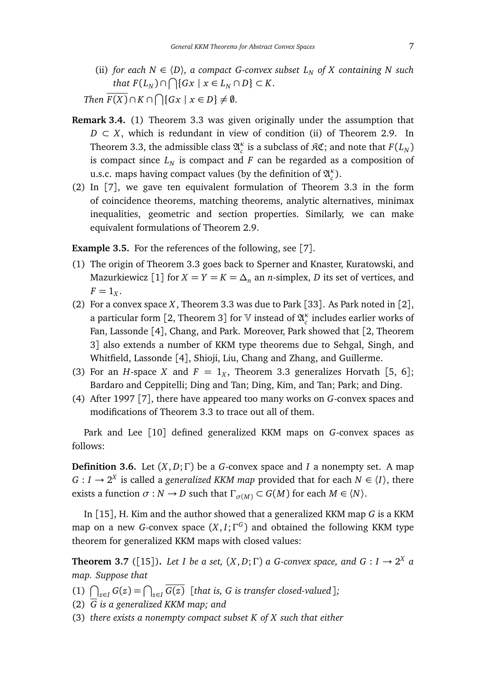(ii) *for each*  $N \in \langle D \rangle$ , *a compact G-convex subset*  $L_N$  *of* X containing N such  $that F(L_N) \cap \bigcap \{Gx \mid x \in L_N \cap D\} \subset K.$ 

*Then*  $\overline{F(X)} \cap K \cap \bigcap \{Gx \mid x \in D\} \neq \emptyset$ .

- **Remark 3.4.** (1) Theorem 3.3 was given originally under the assumption that  $D \subset X$ , which is redundant in view of condition (ii) of Theorem 2.9. In Theorem 3.3, the admissible class  $\mathfrak{A}_{c}^{\kappa}$  is a subclass of  $\mathfrak{RC}$ ; and note that  $F(L_N)$ is compact since  $L_N$  is compact and  $F$  can be regarded as a composition of u.s.c. maps having compact values (by the definition of  $\mathfrak{A}_{c}^{\kappa}$ ).
- (2) In [7], we gave ten equivalent formulation of Theorem 3.3 in the form of coincidence theorems, matching theorems, analytic alternatives, minimax inequalities, geometric and section properties. Similarly, we can make equivalent formulations of Theorem 2.9.

**Example 3.5.** For the references of the following, see [7].

- (1) The origin of Theorem 3.3 goes back to Sperner and Knaster, Kuratowski, and Mazurkiewicz [1] for  $X = Y = K = \Delta_n$  an *n*-simplex, *D* its set of vertices, and  $F=1_X$ .
- (2) For a convex space *X*, Theorem 3.3 was due to Park [33]. As Park noted in [2], a particular form [2, Theorem 3] for  $\mathbb {V}$  instead of  $\mathfrak{A}^\kappa_c$  includes earlier works of Fan, Lassonde [4], Chang, and Park. Moreover, Park showed that [2, Theorem 3] also extends a number of KKM type theorems due to Sehgal, Singh, and Whitfield, Lassonde [4], Shioji, Liu, Chang and Zhang, and Guillerme.
- (3) For an *H*-space *X* and  $F = 1_X$ , Theorem 3.3 generalizes Horvath [5, 6]; Bardaro and Ceppitelli; Ding and Tan; Ding, Kim, and Tan; Park; and Ding.
- (4) After 1997 [7], there have appeared too many works on *G*-convex spaces and modifications of Theorem 3.3 to trace out all of them.

Park and Lee [10] defined generalized KKM maps on *G*-convex spaces as follows:

**Definition 3.6.** Let (*X*, *D*;Γ) be a *G*-convex space and *I* a nonempty set. A map  $G: I \to 2^X$  is called a *generalized KKM map* provided that for each  $N \in \langle I \rangle$ , there exists a function  $\sigma : N \to D$  such that  $\Gamma_{\sigma(M)} \subset G(M)$  for each  $M \in \langle N \rangle$ .

In [15], H. Kim and the author showed that a generalized KKM map *G* is a KKM map on a new *G*-convex space (*X*, *I*;Γ *G* ) and obtained the following KKM type theorem for generalized KKM maps with closed values:

**Theorem 3.7** ([15]). Let I be a set,  $(X, D; \Gamma)$  a G-convex space, and  $G: I \rightarrow 2^X$  a *map. Suppose that*

- (1)  $\bigcap_{z \in I} G(z) = \bigcap_{z \in I} \overline{G(z)}$  [*that is, G is transfer closed-valued*];
- (2) *G is a generalized KKM map; and*
- (3) *there exists a nonempty compact subset K of X such that either*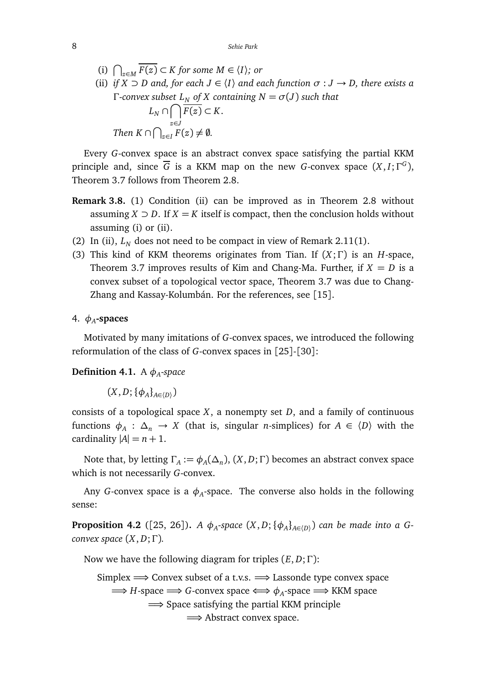(i)  $\bigcap_{z \in M} \overline{F(z)} \subset K$  *for some M* ∈  $\langle I \rangle$ *; or* 

(ii) *if*  $X \supset D$  and, for each  $J \in \langle I \rangle$  and each function  $\sigma : J \to D$ , there exists a Γ*-convex subset L<sup>N</sup> of X containing N* = *σ*(*J*) *such that*  $L_N \cap \bigcap \overline{F(z)} \subset K$ .  $\text{Then } K \cap \bigcap_{z \in I}^{z \in J} F(z) \neq \emptyset.$ 

Every *G*-convex space is an abstract convex space satisfying the partial KKM principle and, since  $\overline{G}$  is a KKM map on the new *G*-convex space  $(X, I; \Gamma^G)$ , Theorem 3.7 follows from Theorem 2.8.

- **Remark 3.8.** (1) Condition (ii) can be improved as in Theorem 2.8 without assuming  $X \supset D$ . If  $X = K$  itself is compact, then the conclusion holds without assuming (i) or (ii).
- (2) In (ii),  $L_N$  does not need to be compact in view of Remark 2.11(1).
- (3) This kind of KKM theorems originates from Tian. If (*X*;Γ) is an *H*-space, Theorem 3.7 improves results of Kim and Chang-Ma. Further, if  $X = D$  is a convex subset of a topological vector space, Theorem 3.7 was due to Chang-Zhang and Kassay-Kolumbán. For the references, see [15].
- 4. *φ<sup>A</sup>* **-spaces**

Motivated by many imitations of *G*-convex spaces, we introduced the following reformulation of the class of *G*-convex spaces in [25]-[30]:

**Definition 4.1.** A *φ<sup>A</sup>* -*space*

 $(X, D; {\phi_A}_{A \in \langle D \rangle})$ 

consists of a topological space *X*, a nonempty set *D*, and a family of continuous functions  $\phi_A : \Delta_n \to X$  (that is, singular *n*-simplices) for  $A \in \langle D \rangle$  with the cardinality  $|A| = n + 1$ .

Note that, by letting  $\Gamma_A := \phi_A(\Delta_n)$ ,  $(X, D; \Gamma)$  becomes an abstract convex space which is not necessarily *G*-convex.

Any *G*-convex space is a  $\phi_A$ -space. The converse also holds in the following sense:

**Proposition 4.2** ([25, 26]). *A*  $\phi_{A}$ -space  $(X,D; {\phi_{A}}_{A\in\langle D \rangle})$  can be made into a G*convex space* (*X*, *D*;Γ)*.*

Now we have the following diagram for triples (*E*, *D*;Γ):

Simplex  $\implies$  Convex subset of a t.v.s.  $\implies$  Lassonde type convex space  $\Longrightarrow$  *H*-space  $\Longrightarrow$  *G*-convex space  $\Longleftrightarrow$   $\phi$ <sub>*A*</sub>-space  $\Longrightarrow$  KKM space ⇒ Space satisfying the partial KKM principle ⇒ Abstract convex space.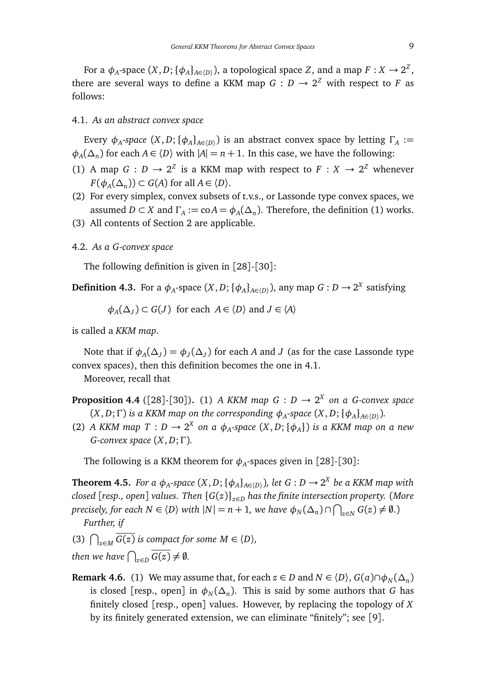For a  $\phi_A$ -space  $(X, D; \{\phi_A\}_{A \in \langle D \rangle})$ , a topological space  $Z$ , and a map  $F: X \to 2^Z$ , there are several ways to define a KKM map  $G: D \to 2^Z$  with respect to  $F$  as follows:

#### 4.1. *As an abstract convex space*

Every  $\phi_A$ -space  $(X, D; {\phi_A}_{A \in (D)})$  is an abstract convex space by letting  $\Gamma_A :=$  $\phi_A(\Delta_n)$  for each *A* ∈  $\langle D \rangle$  with  $|A| = n + 1$ . In this case, we have the following:

- (1) A map  $G : D \to 2^Z$  is a KKM map with respect to  $F : X \to 2^Z$  whenever  $F(\phi_A(\Delta_n)) \subset G(A)$  for all  $A \in \langle D \rangle$ .
- (2) For every simplex, convex subsets of t.v.s., or Lassonde type convex spaces, we assumed *D* ⊂ *X* and  $\Gamma_A$  := co *A* =  $\phi_A(\Delta_n)$ . Therefore, the definition (1) works.
- (3) All contents of Section 2 are applicable.

## 4.2. *As a G-convex space*

The following definition is given in [28]-[30]:

**Definition 4.3.** For a  $\phi_A$ -space  $(X, D; \{\phi_A\}_{A \in (D)}),$  any map  $G: D \to 2^X$  satisfying

 $\phi_A(\Delta_J) \subset G(J)$  for each  $A \in \langle D \rangle$  and  $J \in \langle A \rangle$ 

is called a *KKM map*.

Note that if  $\phi_A(\Delta_J) = \phi_J(\Delta_J)$  for each *A* and *J* (as for the case Lassonde type convex spaces), then this definition becomes the one in 4.1.

Moreover, recall that

- **Proposition 4.4** ([28]-[30]). (1) *A KKM map*  $G : D \rightarrow 2^X$  on a *G*-convex space  $(X, D; \Gamma)$  *is a KKM map on the corresponding*  $\phi_A$ -space  $(X, D; {\phi_A}_{A \in (D)})$ *.*
- (2) *A KKM map T* :  $D \rightarrow 2^X$  on a  $\phi_A$ -space  $(X, D; {\phi_A})$  is a KKM map on a new *G-convex space* (*X*, *D*;Γ)*.*

The following is a KKM theorem for  $\phi_A$ -spaces given in [28]-[30]:

**Theorem 4.5.** *For a*  $\phi_A$ -space  $(X, D; \{\phi_A\}_{A \in (D)}),$  let  $G: D \to 2^X$  be a KKM map with *closed* [*resp., open*] *values. Then* {*G*(*z*)}*z*∈*<sup>D</sup> has the finite intersection property.* (*More precisely, for each N* ∈  $\langle D \rangle$  *with*  $|N| = n + 1$ *, we have*  $\phi_N(\Delta_n) \cap \bigcap_{z \in N} G(z) \neq \emptyset$ *.*) *Further, if*

(3)  $\bigcap_{z \in M} \overline{G(z)}$  *is compact for some M*  $\in \langle D \rangle$ *, then we have*  $\bigcap_{z \in D} \overline{G(z)} \neq \emptyset$ .

**Remark 4.6.** (1) We may assume that, for each  $z \in D$  and  $N \in \langle D \rangle$ ,  $G(a) \cap \phi_N(\Delta_n)$ is closed [resp., open] in  $\phi_N(\Delta_n)$ . This is said by some authors that *G* has finitely closed [resp., open] values. However, by replacing the topology of *X* by its finitely generated extension, we can eliminate "finitely"; see [9].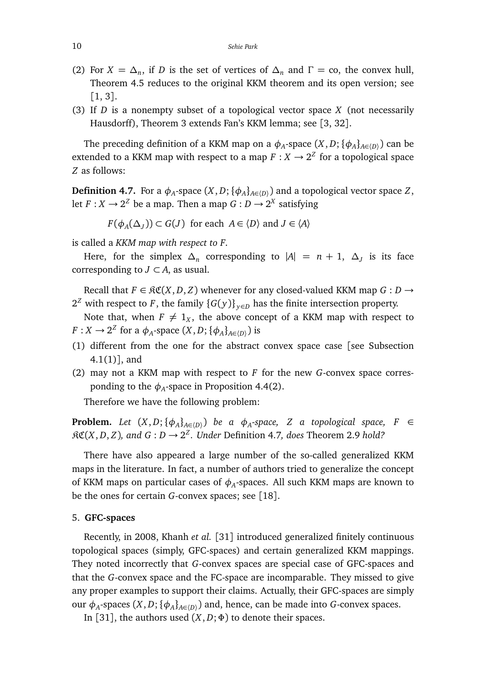- (2) For  $X = \Delta_n$ , if *D* is the set of vertices of  $\Delta_n$  and  $\Gamma = \text{co}$ , the convex hull, Theorem 4.5 reduces to the original KKM theorem and its open version; see [1, 3].
- (3) If *D* is a nonempty subset of a topological vector space *X* (not necessarily Hausdorff), Theorem 3 extends Fan's KKM lemma; see [3, 32].

The preceding definition of a KKM map on a  $\phi_A$ -space  $(X, D; {\phi_A}]_{A \in (D)}$  can be extended to a KKM map with respect to a map  $F: X \to 2^Z$  for a topological space *Z* as follows:

**Definition 4.7.** For a  $\phi_A$ -space  $(X, D; \{\phi_A\}_{A \in (D)})$  and a topological vector space  $Z$ , let  $F: X \to 2^Z$  be a map. Then a map  $G: D \to 2^X$  satisfying

*F*( $\phi_A(\Delta_J)$ ) ⊂ *G*(*J*) for each *A* ∈  $\langle D \rangle$  and *J* ∈  $\langle A \rangle$ 

is called a *KKM map with respect to F*.

Here, for the simplex  $\Delta_n$  corresponding to  $|A| = n + 1$ ,  $\Delta_j$  is its face corresponding to  $J \subset A$ , as usual.

Recall that  $F \in \mathcal{RC}(X, D, Z)$  whenever for any closed-valued KKM map  $G : D \to$  $2^Z$  with respect to *F*, the family  $\{G(y)\}_{y \in D}$  has the finite intersection property.

Note that, when  $F \neq 1_X$ , the above concept of a KKM map with respect to *F* : *X*  $\rightarrow$  2<sup>*Z*</sup> for a  $\phi$ <sub>*A*</sub>-space (*X*, *D*; { $\phi$ <sub>*A*</sub>}<sub>*A*∈(*D*)</sub>) is

- (1) different from the one for the abstract convex space case [see Subsection 4.1(1)], and
- (2) may not a KKM map with respect to *F* for the new *G*-convex space corresponding to the  $\phi_A$ -space in Proposition 4.4(2).

Therefore we have the following problem:

**Problem.** Let  $(X, D; {\phi_A}_{A \in (D)})$  be a  $\phi_A$ -space, Z a topological space, F  $\in$  $R\mathfrak{C}(X,D,Z)$ , and  $G: D \to 2^Z$ . Under Definition 4.7, does Theorem 2.9 *hold?* 

There have also appeared a large number of the so-called generalized KKM maps in the literature. In fact, a number of authors tried to generalize the concept of KKM maps on particular cases of  $\phi_A$ -spaces. All such KKM maps are known to be the ones for certain *G*-convex spaces; see [18].

## 5. **GFC-spaces**

Recently, in 2008, Khanh *et al.* [31] introduced generalized finitely continuous topological spaces (simply, GFC-spaces) and certain generalized KKM mappings. They noted incorrectly that *G*-convex spaces are special case of GFC-spaces and that the *G*-convex space and the FC-space are incomparable. They missed to give any proper examples to support their claims. Actually, their GFC-spaces are simply our  $\phi_A$ -spaces  $(X, D; {\phi_A}_{A \in (D)})$  and, hence, can be made into *G*-convex spaces.

In [31], the authors used  $(X, D; \Phi)$  to denote their spaces.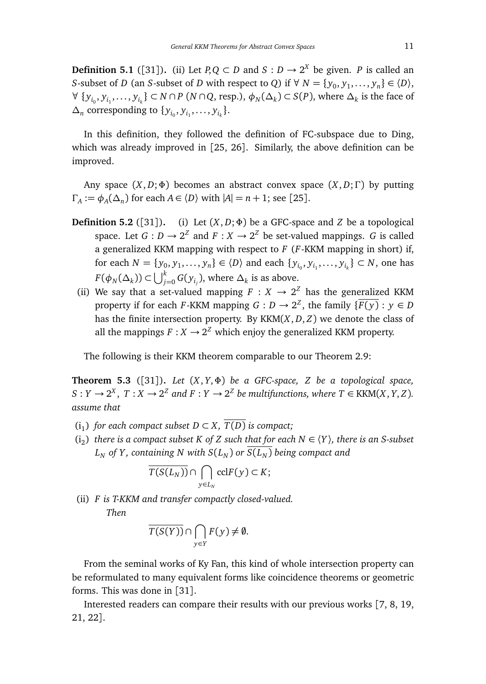**Definition 5.1** ([31]). (ii) Let  $P,Q \subset D$  and  $S : D \to 2^X$  be given. *P* is called an *S*-subset of *D* (an *S*-subset of *D* with respect to *Q*) if  $\forall N = \{y_0, y_1, \dots, y_n\} \in \langle D \rangle$ ,  $\forall \{y_{i_0}, y_{i_1}, \dots, y_{i_k}\} \subset N \cap P \ (N \cap Q, \text{resp.}), \ \phi_N(\Delta_k) \subset S(P)$ , where  $\Delta_k$  is the face of  $\Delta_n$  corresponding to  $\{y_{i_0}, y_{i_1}, \ldots, y_{i_k}\}.$ 

In this definition, they followed the definition of FC-subspace due to Ding, which was already improved in [25, 26]. Similarly, the above definition can be improved.

Any space (*X*, *D*;Φ) becomes an abstract convex space (*X*, *D*;Γ) by putting  $\Gamma_A := \phi_A(\Delta_n)$  for each  $A \in \langle D \rangle$  with  $|A| = n + 1$ ; see [25].

- **Definition 5.2** ([31]). (i) Let  $(X, D; \Phi)$  be a GFC-space and *Z* be a topological space. Let  $G: D \to 2^Z$  and  $F: X \to 2^Z$  be set-valued mappings. *G* is called a generalized KKM mapping with respect to *F* (*F*-KKM mapping in short) if, for each  $N = \{y_0, y_1, \ldots, y_n\} \in \langle D \rangle$  and each  $\{y_{i_0}, y_{i_1}, \ldots, y_{i_k}\} \subset N$ , one has  $F(\phi_N(\Delta_k)) \subset \bigcup_{j=0}^k G(y_{i_j}),$  where  $\Delta_k$  is as above.
	- (ii) We say that a set-valued mapping  $F : X \rightarrow 2^Z$  has the generalized KKM property if for each *F*-KKM mapping  $G: D \to 2^{\mathbb{Z}}$ , the family  $\{ \overline{F(y)}: y \in D \}$ has the finite intersection property. By KKM(*X*, *D*, *Z*) we denote the class of all the mappings  $F: X \to 2^Z$  which enjoy the generalized KKM property.

The following is their KKM theorem comparable to our Theorem 2.9:

**Theorem 5.3** ([31])**.** *Let* (*X*, *Y*,Φ) *be a GFC-space, Z be a topological space,*  $S: Y \to 2^X$ ,  $T: X \to 2^Z$  and  $F: Y \to 2^Z$  be multifunctions, where  $T \in \text{KKM}(X, Y, Z)$ . *assume that*

- $(i_1)$  *for each compact subset*  $D \subset X$ ,  $\overline{T(D)}$  *is compact*;
- $(i_2)$  there is a compact subset K of Z such that for each  $N \in \langle Y \rangle$ , there is an S-subset  $L_N$  *of Y*, containing *N* with  $S(L_N)$  *or*  $S(L_N)$  *being compact and*

$$
\overline{T(S(L_N))} \cap \bigcap_{y \in L_N} \text{ccl} F(y) \subset K;
$$

(ii) *F is T-KKM and transfer compactly closed-valued. Then*

$$
\overline{T(S(Y))} \cap \bigcap_{y \in Y} F(y) \neq \emptyset.
$$

From the seminal works of Ky Fan, this kind of whole intersection property can be reformulated to many equivalent forms like coincidence theorems or geometric forms. This was done in [31].

Interested readers can compare their results with our previous works [7, 8, 19, 21, 22].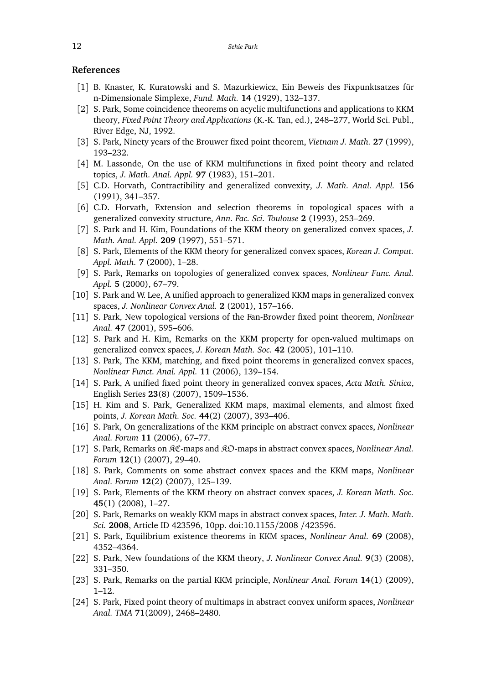## **References**

- [1] B. Knaster, K. Kuratowski and S. Mazurkiewicz, Ein Beweis des Fixpunktsatzes für n-Dimensionale Simplexe, *Fund. Math.* **14** (1929), 132–137.
- [2] S. Park, Some coincidence theorems on acyclic multifunctions and applications to KKM theory, *Fixed Point Theory and Applications* (K.-K. Tan, ed.), 248–277, World Sci. Publ., River Edge, NJ, 1992.
- [3] S. Park, Ninety years of the Brouwer fixed point theorem, *Vietnam J. Math.* **27** (1999), 193–232.
- [4] M. Lassonde, On the use of KKM multifunctions in fixed point theory and related topics, *J. Math. Anal. Appl.* **97** (1983), 151–201.
- [5] C.D. Horvath, Contractibility and generalized convexity, *J. Math. Anal. Appl.* **156** (1991), 341–357.
- [6] C.D. Horvath, Extension and selection theorems in topological spaces with a generalized convexity structure, *Ann. Fac. Sci. Toulouse* **2** (1993), 253–269.
- [7] S. Park and H. Kim, Foundations of the KKM theory on generalized convex spaces, *J. Math. Anal. Appl.* **209** (1997), 551–571.
- [8] S. Park, Elements of the KKM theory for generalized convex spaces, *Korean J. Comput. Appl. Math.* **7** (2000), 1–28.
- [9] S. Park, Remarks on topologies of generalized convex spaces, *Nonlinear Func. Anal. Appl.* **5** (2000), 67–79.
- [10] S. Park and W. Lee, A unified approach to generalized KKM maps in generalized convex spaces, *J. Nonlinear Convex Anal.* **2** (2001), 157–166.
- [11] S. Park, New topological versions of the Fan-Browder fixed point theorem, *Nonlinear Anal.* **47** (2001), 595–606.
- [12] S. Park and H. Kim, Remarks on the KKM property for open-valued multimaps on generalized convex spaces, *J. Korean Math. Soc.* **42** (2005), 101–110.
- [13] S. Park, The KKM, matching, and fixed point theorems in generalized convex spaces, *Nonlinear Funct. Anal. Appl.* **11** (2006), 139–154.
- [14] S. Park, A unified fixed point theory in generalized convex spaces, *Acta Math. Sinica*, English Series **23**(8) (2007), 1509–1536.
- [15] H. Kim and S. Park, Generalized KKM maps, maximal elements, and almost fixed points, *J. Korean Math. Soc.* **44**(2) (2007), 393–406.
- [16] S. Park, On generalizations of the KKM principle on abstract convex spaces, *Nonlinear Anal. Forum* **11** (2006), 67–77.
- [17] S. Park, Remarks on KC-maps and KO-maps in abstract convex spaces, *Nonlinear Anal. Forum* **12**(1) (2007), 29–40.
- [18] S. Park, Comments on some abstract convex spaces and the KKM maps, *Nonlinear Anal. Forum* **12**(2) (2007), 125–139.
- [19] S. Park, Elements of the KKM theory on abstract convex spaces, *J. Korean Math. Soc.* **45**(1) (2008), 1–27.
- [20] S. Park, Remarks on weakly KKM maps in abstract convex spaces, *Inter. J. Math. Math. Sci.* **2008**, Article ID 423596, 10pp. doi:10.1155/2008 /423596.
- [21] S. Park, Equilibrium existence theorems in KKM spaces, *Nonlinear Anal.* **69** (2008), 4352–4364.
- [22] S. Park, New foundations of the KKM theory, *J. Nonlinear Convex Anal.* **9**(3) (2008), 331–350.
- [23] S. Park, Remarks on the partial KKM principle, *Nonlinear Anal. Forum* **14**(1) (2009), 1–12.
- [24] S. Park, Fixed point theory of multimaps in abstract convex uniform spaces, *Nonlinear Anal. TMA* **71**(2009), 2468–2480.